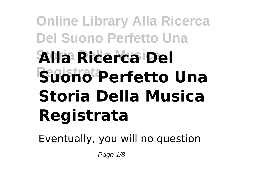## **Online Library Alla Ricerca Del Suono Perfetto Una Storia Della Musica Alla Ricerca Del Registrata Suono Perfetto Una Storia Della Musica Registrata**

Eventually, you will no question

Page 1/8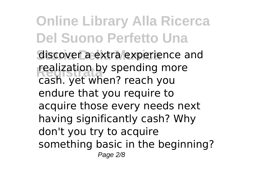**Online Library Alla Ricerca Del Suono Perfetto Una** discover a extra experience and realization by spending more cash. yet when? reach you endure that you require to acquire those every needs next having significantly cash? Why don't you try to acquire something basic in the beginning? Page 2/8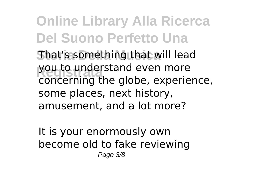**Online Library Alla Ricerca Del Suono Perfetto Una Storia Della Musica** That's something that will lead you to understand even more concerning the globe, experience, some places, next history, amusement, and a lot more?

It is your enormously own become old to fake reviewing Page 3/8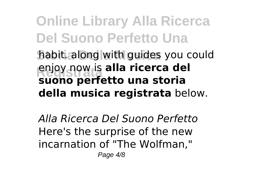**Online Library Alla Ricerca Del Suono Perfetto Una Storia Della Musica** habit. along with guides you could **Registrata suono perfetto una storia** enjoy now is **alla ricerca del della musica registrata** below.

*Alla Ricerca Del Suono Perfetto* Here's the surprise of the new incarnation of "The Wolfman," Page 4/8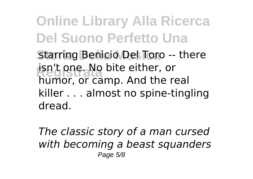**Online Library Alla Ricerca Del Suono Perfetto Una** Starring Benicio Del Toro -- there **isn't one. No bite either, or** humor, or camp. And the real killer . . . almost no spine-tingling dread.

*The classic story of a man cursed with becoming a beast squanders* Page 5/8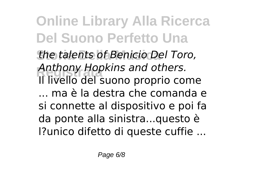**Online Library Alla Ricerca Del Suono Perfetto Una Storia Della Musica** *the talents of Benicio Del Toro,* **Registrata** *Anthony Hopkins and others.* Il livello del suono proprio come ... ma è la destra che comanda e si connette al dispositivo e poi fa da ponte alla sinistra...questo è l?unico difetto di queste cuffie ...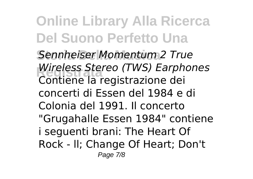**Online Library Alla Ricerca Del Suono Perfetto Una Storia Della Musica** *Sennheiser Momentum 2 True* **Registrata** *Wireless Stereo (TWS) Earphones* Contiene la registrazione dei concerti di Essen del 1984 e di Colonia del 1991. Il concerto "Grugahalle Essen 1984" contiene i seguenti brani: The Heart Of Rock - ll; Change Of Heart; Don't Page 7/8